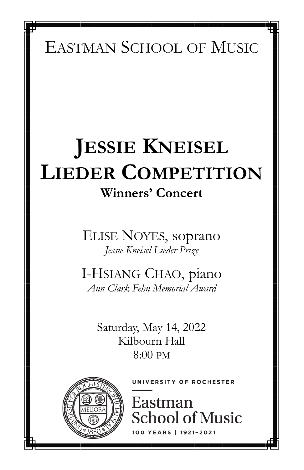EASTMAN SCHOOL OF MUSIC

# **JESSIE KNEISEL LIEDER COMPETITION Winners' Concert**

ELISE NOYES, soprano *Jessie Kneisel Lieder Prize*

I-HSIANG CHAO, piano *Ann Clark Fehn Memorial Award* 

> Saturday, May 14, 2022 Kilbourn Hall 8:00 PM



**INIVERSITY OF ROCHESTER** 

Eastman **School of Music** RS | 1921-2021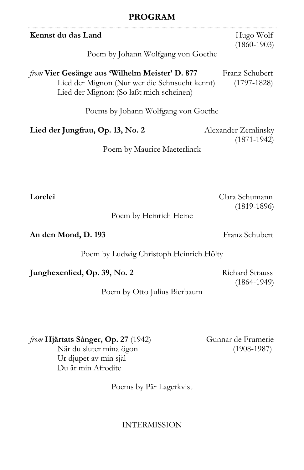#### **PROGRAM**

| Kennst du das Land<br>Poem by Johann Wolfgang von Goethe                                                                                           | Hugo Wolf<br>$(1860 - 1903)$           |
|----------------------------------------------------------------------------------------------------------------------------------------------------|----------------------------------------|
| <i>from</i> Vier Gesänge aus 'Wilhelm Meister' D. 877<br>Lied der Mignon (Nur wer die Sehnsucht kennt)<br>Lied der Mignon: (So laßt mich scheinen) | Franz Schubert<br>$(1797-1828)$        |
| Poems by Johann Wolfgang von Goethe                                                                                                                |                                        |
| Lied der Jungfrau, Op. 13, No. 2                                                                                                                   | Alexander Zemlinsky<br>$(1871 - 1942)$ |
| Poem by Maurice Maeterlinck                                                                                                                        |                                        |
|                                                                                                                                                    |                                        |
| Lorelei                                                                                                                                            | Clara Schumann                         |

Poem by Heinrich Heine

**An den Mond, D. 193** Franz Schubert

(1819-1896)

Poem by Ludwig Christoph Heinrich Hölty

**Junghexenlied, Op. 39, No. 2** Richard Strauss

(1864-1949)

Poem by Otto Julius Bierbaum

*from* **Hjärtats Sånger, Op. 27** (1942) Gunnar de Frumerie

När du sluter mina ögon (1908-1987) Ur djupet av min själ Du är min Afrodite

Poems by Pär Lagerkvist

INTERMISSION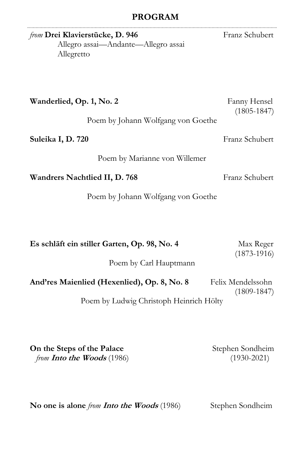## **PROGRAM**

| from Drei Klavierstücke, D. 946<br>Allegro assai—Andante—Allegro assai<br>Allegretto | Franz Schubert                  |
|--------------------------------------------------------------------------------------|---------------------------------|
| Wanderlied, Op. 1, No. 2<br>Poem by Johann Wolfgang von Goethe                       | Fanny Hensel<br>$(1805 - 1847)$ |
| Suleika I, D. 720                                                                    | Franz Schubert                  |
| Poem by Marianne von Willemer                                                        |                                 |
| Wandrers Nachtlied II, D. 768                                                        | Franz Schubert                  |
| Poem by Johann Wolfgang von Goethe                                                   |                                 |
|                                                                                      |                                 |
| Es schläft ein stiller Garten, Op. 98, No. 4                                         | Max Reger<br>$(1873 - 1916)$    |

Poem by Carl Hauptmann

| And'res Maienlied (Hexenlied), Op. 8, No. 8 | Felix Mendelssohn |
|---------------------------------------------|-------------------|
|                                             | $(1809 - 1847)$   |

Poem by Ludwig Christoph Heinrich Hölty

**On the Steps of the Palace** Stephen Sondheim *from* **Into the Woods** (1986) (1930-2021)

. . . . . . . . . .

No one is alone *from Into the Woods* (1986) Stephen Sondheim